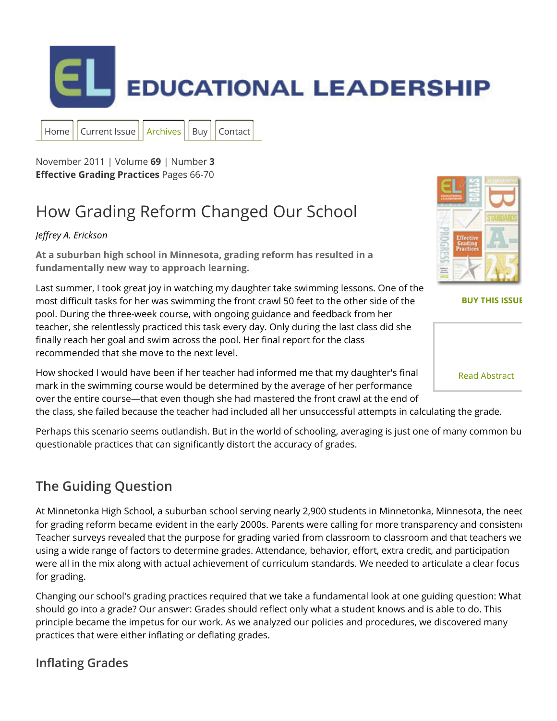

November 2011 | Volume **69** | Number **3 Effective Grading Practices** Pages 66-70

[Home](http://www.ascd.org/publications/educational_leadership.aspx) | [Current](http://www.ascd.org/publications/educational_leadership/current_issue.aspx) Issue | [Archives](http://www.ascd.org/publications/educational_leadership/archived_issues.aspx) | [Buy](http://shop.ascd.org/PERIODICALS/ASCDproductlistingEL.aspx) | [Contact](http://www.ascd.org/Publications/Educational_Leadership/Contact_the_Staff.aspx)

# How Grading Reform Changed Our School

#### *Jerey A. Erickson*

**At a suburban high school in Minnesota, grading reform has resulted in a fundamentally new way to approach learning.**

Last summer, I took great joy in watching my daughter take swimming lessons. One of the most difficult tasks for her was swimming the front crawl 50 feet to the other side of the pool. During the three-week course, with ongoing guidance and feedback from her teacher, she relentlessly practiced this task every day. Only during the last class did she finally reach her goal and swim across the pool. Her final report for the class recommended that she move to the next level.

How shocked I would have been if her teacher had informed me that my daughter's final mark in the swimming course would be determined by the average of her performance over the entire course—that even though she had mastered the front crawl at the end of

the class, she failed because the teacher had included all her unsuccessful attempts in calculating the grade.

Perhaps this scenario seems outlandish. But in the world of schooling, averaging is just one of many common bu questionable practices that can significantly distort the accuracy of grades.

### **The Guiding Question**

At Minnetonka High School, a suburban school serving nearly 2,900 students in Minnetonka, Minnesota, the need for grading reform became evident in the early 2000s. Parents were calling for more transparency and consisteno Teacher surveys revealed that the purpose for grading varied from classroom to classroom and that teachers we using a wide range of factors to determine grades. Attendance, behavior, effort, extra credit, and participation were all in the mix along with actual achievement of curriculum standards. We needed to articulate a clear focus for grading.

Changing our school's grading practices required that we take a fundamental look at one guiding question: What should go into a grade? Our answer: Grades should reflect only what a student knows and is able to do. This principle became the impetus for our work. As we analyzed our policies and procedures, we discovered many practices that were either inflating or deflating grades.

#### **Inflating Grades**

**[BUY THIS ISSUE](http://shop.ascd.org/?ProductCode=112018)**

[Read Abstract](http://www.ascd.org/publications/educational_leadership/nov11/vol69/num03/abstract.aspx#How_Grading_Reform_Changed_Our_School)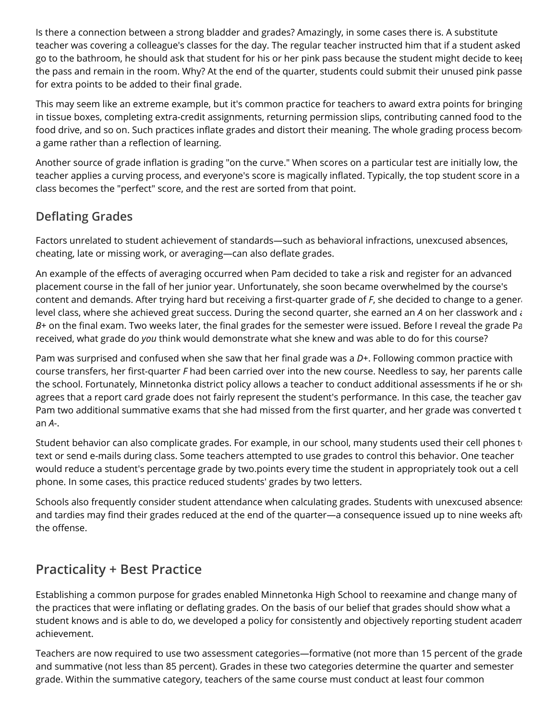Is there a connection between a strong bladder and grades? Amazingly, in some cases there is. A substitute teacher was covering a colleague's classes for the day. The regular teacher instructed him that if a student asked go to the bathroom, he should ask that student for his or her pink pass because the student might decide to keep the pass and remain in the room. Why? At the end of the quarter, students could submit their unused pink passe for extra points to be added to their final grade.

This may seem like an extreme example, but it's common practice for teachers to award extra points for bringing in tissue boxes, completing extra-credit assignments, returning permission slips, contributing canned food to the food drive, and so on. Such practices inflate grades and distort their meaning. The whole grading process become a game rather than a reflection of learning.

Another source of grade inflation is grading "on the curve." When scores on a particular test are initially low, the teacher applies a curving process, and everyone's score is magically inflated. Typically, the top student score in a class becomes the "perfect" score, and the rest are sorted from that point.

#### **Deflating Grades**

Factors unrelated to student achievement of standards—such as behavioral infractions, unexcused absences, cheating, late or missing work, or averaging—can also deflate grades.

An example of the effects of averaging occurred when Pam decided to take a risk and register for an advanced placement course in the fall of her junior year. Unfortunately, she soon became overwhelmed by the course's content and demands. After trying hard but receiving a first-quarter grade of *F*, she decided to change to a gener level class, where she achieved great success. During the second quarter, she earned an A on her classwork and a B+ on the final exam. Two weeks later, the final grades for the semester were issued. Before I reveal the grade Pa received, what grade do *you* think would demonstrate what she knew and was able to do for this course?

Pam was surprised and confused when she saw that her final grade was a D+. Following common practice with course transfers, her first-quarter *F* had been carried over into the new course. Needless to say, her parents calle the school. Fortunately, Minnetonka district policy allows a teacher to conduct additional assessments if he or she agrees that a report card grade does not fairly represent the student's performance. In this case, the teacher gave Pam two additional summative exams that she had missed from the first quarter, and her grade was converted t an *A-*.

Student behavior can also complicate grades. For example, in our school, many students used their cell phones to text or send e-mails during class. Some teachers attempted to use grades to control this behavior. One teacher would reduce a student's percentage grade by two.points every time the student in appropriately took out a cell phone. In some cases, this practice reduced students' grades by two letters.

Schools also frequently consider student attendance when calculating grades. Students with unexcused absence: and tardies may find their grades reduced at the end of the quarter—a consequence issued up to nine weeks after the offense.

### **Practicality + Best Practice**

Establishing a common purpose for grades enabled Minnetonka High School to reexamine and change many of the practices that were inflating or deflating grades. On the basis of our belief that grades should show what a student knows and is able to do, we developed a policy for consistently and objectively reporting student academ achievement.

Teachers are now required to use two assessment categories—formative (not more than 15 percent of the grade) and summative (not less than 85 percent). Grades in these two categories determine the quarter and semester grade. Within the summative category, teachers of the same course must conduct at least four common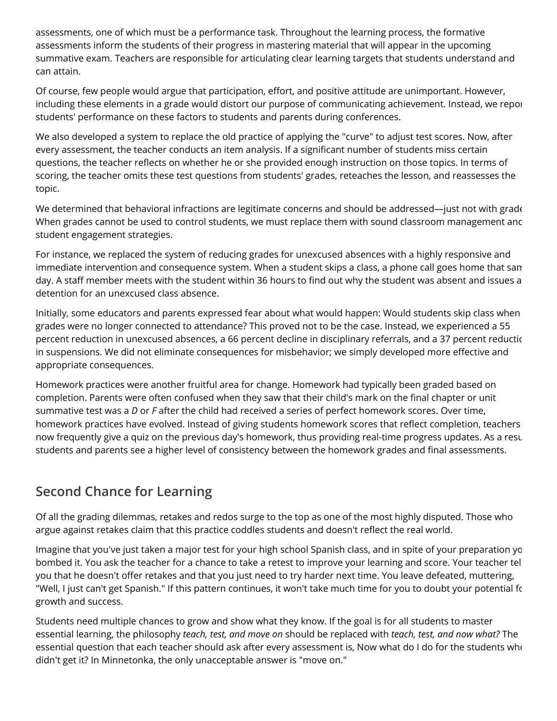assessments, one of which must be a performance task. Throughout the learning process, the formative assessments inform the students of their progress in mastering material that will appear in the upcoming summative exam. Teachers are responsible for articulating clear learning targets that students understand and can attain.

Of course, few people would argue that participation, effort, and positive attitude are unimportant. However, including these elements in a grade would distort our purpose of communicating achievement. Instead, we report students' performance on these factors to students and parents during conferences.

We also developed a system to replace the old practice of applying the "curve" to adjust test scores. Now, after every assessment, the teacher conducts an item analysis. If a significant number of students miss certain questions, the teacher reflects on whether he or she provided enough instruction on those topics. In terms of scoring, the teacher omits these test questions from students' grades, reteaches the lesson, and reassesses the topic.

We determined that behavioral infractions are legitimate concerns and should be addressed—just not with grade When grades cannot be used to control students, we must replace them with sound classroom management anc student engagement strategies.

For instance, we replaced the system of reducing grades for unexcused absences with a highly responsive and immediate intervention and consequence system. When a student skips a class, a phone call goes home that san day. A staff member meets with the student within 36 hours to find out why the student was absent and issues a detention for an unexcused class absence.

Initially, some educators and parents expressed fear about what would happen: Would students skip class when grades were no longer connected to attendance? This proved not to be the case. Instead, we experienced a 55 percent reduction in unexcused absences, a 66 percent decline in disciplinary referrals, and a 37 percent reductic in suspensions. We did not eliminate consequences for misbehavior; we simply developed more effective and appropriate consequences.

Homework practices were another fruitful area for change. Homework had typically been graded based on completion. Parents were often confused when they saw that their child's mark on the final chapter or unit summative test was a *D* or *F* after the child had received a series of perfect homework scores. Over time, homework practices have evolved. Instead of giving students homework scores that reflect completion, teachers now frequently give a quiz on the previous day's homework, thus providing real-time progress updates. As a resu students and parents see a higher level of consistency between the homework grades and final assessments.

### **Second Chance for Learning**

Of all the grading dilemmas, retakes and redos surge to the top as one of the most highly disputed. Those who argue against retakes claim that this practice coddles students and doesn't reflect the real world.

Imagine that you've just taken a major test for your high school Spanish class, and in spite of your preparation yo bombed it. You ask the teacher for a chance to take a retest to improve your learning and score. Your teacher tel you that he doesn't offer retakes and that you just need to try harder next time. You leave defeated, muttering, "Well, I just can't get Spanish." If this pattern continues, it won't take much time for you to doubt your potential fo growth and success.

Students need multiple chances to grow and show what they know. If the goal is for all students to master essential learning, the philosophy *teach, test, and move on* should be replaced with *teach, test, and now what?* The essential question that each teacher should ask after every assessment is, Now what do I do for the students who didn't get it? In Minnetonka, the only unacceptable answer is "move on."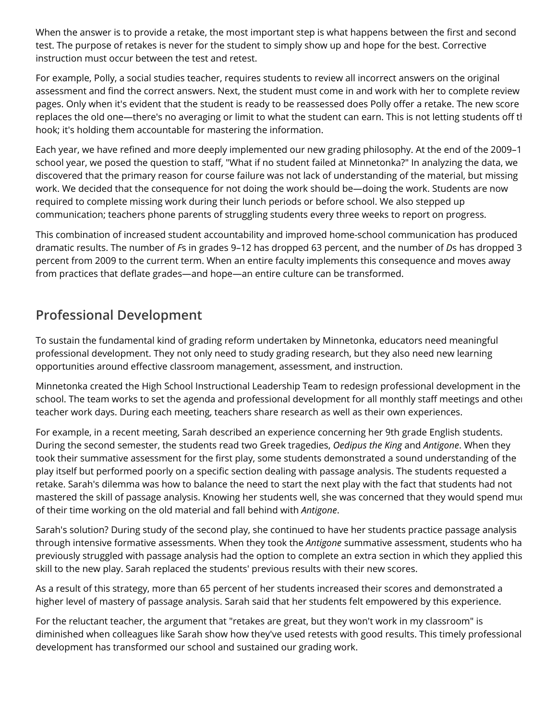When the answer is to provide a retake, the most important step is what happens between the first and second test. The purpose of retakes is never for the student to simply show up and hope for the best. Corrective instruction must occur between the test and retest.

For example, Polly, a social studies teacher, requires students to review all incorrect answers on the original assessment and find the correct answers. Next, the student must come in and work with her to complete review pages. Only when it's evident that the student is ready to be reassessed does Polly offer a retake. The new score replaces the old one—there's no averaging or limit to what the student can earn. This is not letting students off th hook; it's holding them accountable for mastering the information.

Each year, we have refined and more deeply implemented our new grading philosophy. At the end of the 2009-1 school year, we posed the question to staff, "What if no student failed at Minnetonka?" In analyzing the data, we discovered that the primary reason for course failure was not lack of understanding of the material, but missing work. We decided that the consequence for not doing the work should be—doing the work. Students are now required to complete missing work during their lunch periods or before school. We also stepped up communication; teachers phone parents of struggling students every three weeks to report on progress.

This combination of increased student accountability and improved home-school communication has produced dramatic results. The number of *F*s in grades 9–12 has dropped 63 percent, and the number of *D*s has dropped 32 percent from 2009 to the current term. When an entire faculty implements this consequence and moves away from practices that deflate grades—and hope—an entire culture can be transformed.

### **Professional Development**

To sustain the fundamental kind of grading reform undertaken by Minnetonka, educators need meaningful professional development. They not only need to study grading research, but they also need new learning opportunities around effective classroom management, assessment, and instruction.

Minnetonka created the High School Instructional Leadership Team to redesign professional development in the school. The team works to set the agenda and professional development for all monthly staff meetings and other teacher work days. During each meeting, teachers share research as well as their own experiences.

For example, in a recent meeting, Sarah described an experience concerning her 9th grade English students. During the second semester, the students read two Greek tragedies, *Oedipus the King* and *Antigone*. When they took their summative assessment for the first play, some students demonstrated a sound understanding of the play itself but performed poorly on a specific section dealing with passage analysis. The students requested a retake. Sarah's dilemma was how to balance the need to start the next play with the fact that students had not mastered the skill of passage analysis. Knowing her students well, she was concerned that they would spend muc of their time working on the old material and fall behind with *Antigone*.

Sarah's solution? During study of the second play, she continued to have her students practice passage analysis through intensive formative assessments. When they took the *Antigone* summative assessment, students who had previously struggled with passage analysis had the option to complete an extra section in which they applied this skill to the new play. Sarah replaced the students' previous results with their new scores.

As a result of this strategy, more than 65 percent of her students increased their scores and demonstrated a higher level of mastery of passage analysis. Sarah said that her students felt empowered by this experience.

For the reluctant teacher, the argument that "retakes are great, but they won't work in my classroom" is diminished when colleagues like Sarah show how they've used retests with good results. This timely professional development has transformed our school and sustained our grading work.